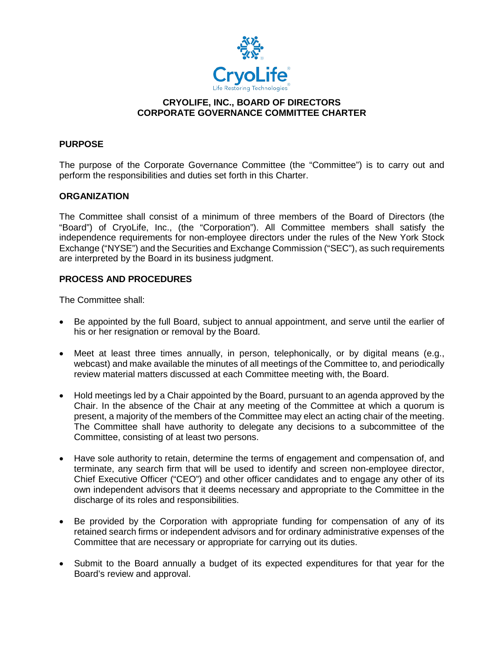

## **CRYOLIFE, INC., BOARD OF DIRECTORS CORPORATE GOVERNANCE COMMITTEE CHARTER**

# **PURPOSE**

The purpose of the Corporate Governance Committee (the "Committee") is to carry out and perform the responsibilities and duties set forth in this Charter.

## **ORGANIZATION**

The Committee shall consist of a minimum of three members of the Board of Directors (the "Board") of CryoLife, Inc., (the "Corporation"). All Committee members shall satisfy the independence requirements for non-employee directors under the rules of the New York Stock Exchange ("NYSE") and the Securities and Exchange Commission ("SEC"), as such requirements are interpreted by the Board in its business judgment.

## **PROCESS AND PROCEDURES**

The Committee shall:

- Be appointed by the full Board, subject to annual appointment, and serve until the earlier of his or her resignation or removal by the Board.
- Meet at least three times annually, in person, telephonically, or by digital means (e.g., webcast) and make available the minutes of all meetings of the Committee to, and periodically review material matters discussed at each Committee meeting with, the Board.
- Hold meetings led by a Chair appointed by the Board, pursuant to an agenda approved by the Chair. In the absence of the Chair at any meeting of the Committee at which a quorum is present, a majority of the members of the Committee may elect an acting chair of the meeting. The Committee shall have authority to delegate any decisions to a subcommittee of the Committee, consisting of at least two persons.
- Have sole authority to retain, determine the terms of engagement and compensation of, and terminate, any search firm that will be used to identify and screen non-employee director, Chief Executive Officer ("CEO") and other officer candidates and to engage any other of its own independent advisors that it deems necessary and appropriate to the Committee in the discharge of its roles and responsibilities.
- Be provided by the Corporation with appropriate funding for compensation of any of its retained search firms or independent advisors and for ordinary administrative expenses of the Committee that are necessary or appropriate for carrying out its duties.
- Submit to the Board annually a budget of its expected expenditures for that year for the Board's review and approval.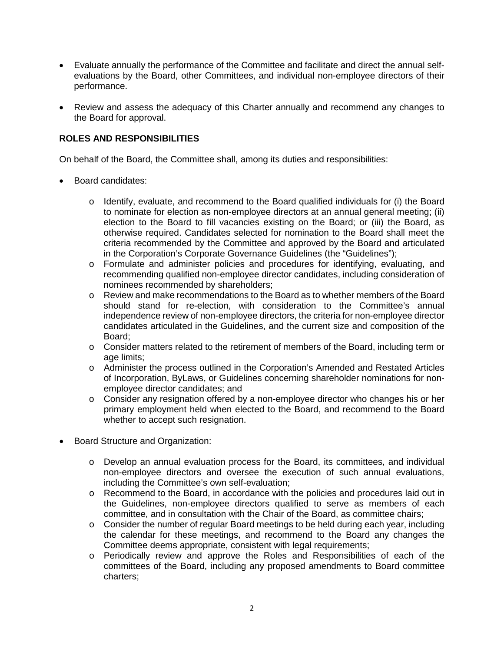- Evaluate annually the performance of the Committee and facilitate and direct the annual selfevaluations by the Board, other Committees, and individual non-employee directors of their performance.
- Review and assess the adequacy of this Charter annually and recommend any changes to the Board for approval.

# **ROLES AND RESPONSIBILITIES**

On behalf of the Board, the Committee shall, among its duties and responsibilities:

- Board candidates:
	- $\circ$  Identify, evaluate, and recommend to the Board qualified individuals for (i) the Board to nominate for election as non-employee directors at an annual general meeting; (ii) election to the Board to fill vacancies existing on the Board; or (iii) the Board, as otherwise required. Candidates selected for nomination to the Board shall meet the criteria recommended by the Committee and approved by the Board and articulated in the Corporation's Corporate Governance Guidelines (the "Guidelines");
	- o Formulate and administer policies and procedures for identifying, evaluating, and recommending qualified non-employee director candidates, including consideration of nominees recommended by shareholders;
	- o Review and make recommendations to the Board as to whether members of the Board should stand for re-election, with consideration to the Committee's annual independence review of non-employee directors, the criteria for non-employee director candidates articulated in the Guidelines, and the current size and composition of the Board;
	- $\circ$  Consider matters related to the retirement of members of the Board, including term or age limits;
	- o Administer the process outlined in the Corporation's Amended and Restated Articles of Incorporation, ByLaws, or Guidelines concerning shareholder nominations for nonemployee director candidates; and
	- o Consider any resignation offered by a non-employee director who changes his or her primary employment held when elected to the Board, and recommend to the Board whether to accept such resignation.
- Board Structure and Organization:
	- o Develop an annual evaluation process for the Board, its committees, and individual non-employee directors and oversee the execution of such annual evaluations, including the Committee's own self-evaluation;
	- o Recommend to the Board, in accordance with the policies and procedures laid out in the Guidelines, non-employee directors qualified to serve as members of each committee, and in consultation with the Chair of the Board, as committee chairs;
	- o Consider the number of regular Board meetings to be held during each year, including the calendar for these meetings, and recommend to the Board any changes the Committee deems appropriate, consistent with legal requirements;
	- o Periodically review and approve the Roles and Responsibilities of each of the committees of the Board, including any proposed amendments to Board committee charters;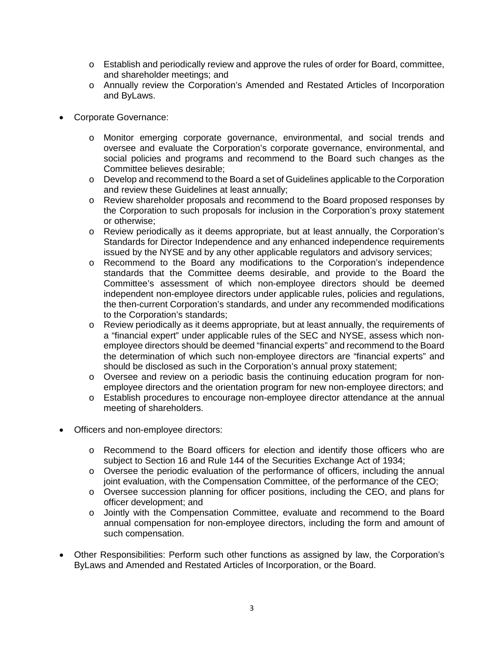- o Establish and periodically review and approve the rules of order for Board, committee, and shareholder meetings; and
- o Annually review the Corporation's Amended and Restated Articles of Incorporation and ByLaws.
- Corporate Governance:
	- o Monitor emerging corporate governance, environmental, and social trends and oversee and evaluate the Corporation's corporate governance, environmental, and social policies and programs and recommend to the Board such changes as the Committee believes desirable;
	- o Develop and recommend to the Board a set of Guidelines applicable to the Corporation and review these Guidelines at least annually;
	- o Review shareholder proposals and recommend to the Board proposed responses by the Corporation to such proposals for inclusion in the Corporation's proxy statement or otherwise;
	- o Review periodically as it deems appropriate, but at least annually, the Corporation's Standards for Director Independence and any enhanced independence requirements issued by the NYSE and by any other applicable regulators and advisory services;
	- o Recommend to the Board any modifications to the Corporation's independence standards that the Committee deems desirable, and provide to the Board the Committee's assessment of which non-employee directors should be deemed independent non-employee directors under applicable rules, policies and regulations, the then-current Corporation's standards, and under any recommended modifications to the Corporation's standards;
	- o Review periodically as it deems appropriate, but at least annually, the requirements of a "financial expert" under applicable rules of the SEC and NYSE, assess which nonemployee directors should be deemed "financial experts" and recommend to the Board the determination of which such non-employee directors are "financial experts" and should be disclosed as such in the Corporation's annual proxy statement;
	- o Oversee and review on a periodic basis the continuing education program for nonemployee directors and the orientation program for new non-employee directors; and
	- o Establish procedures to encourage non-employee director attendance at the annual meeting of shareholders.
- Officers and non-employee directors:
	- o Recommend to the Board officers for election and identify those officers who are subject to Section 16 and Rule 144 of the Securities Exchange Act of 1934;
	- o Oversee the periodic evaluation of the performance of officers, including the annual joint evaluation, with the Compensation Committee, of the performance of the CEO;
	- o Oversee succession planning for officer positions, including the CEO, and plans for officer development; and
	- o Jointly with the Compensation Committee, evaluate and recommend to the Board annual compensation for non-employee directors, including the form and amount of such compensation.
- Other Responsibilities: Perform such other functions as assigned by law, the Corporation's ByLaws and Amended and Restated Articles of Incorporation, or the Board.